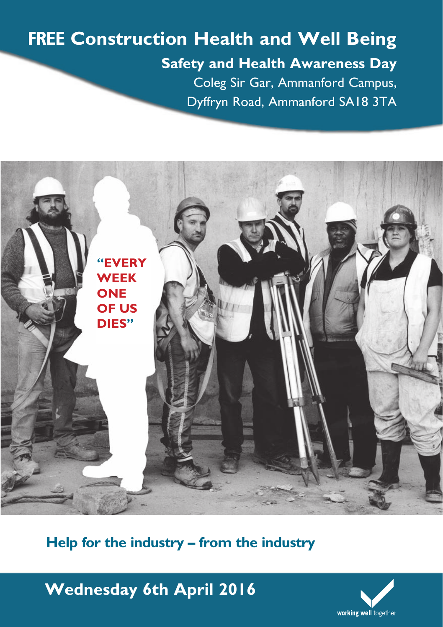### **FREE Construction Health and Well Being Safety and Health Awareness Day** Coleg Sir Gar, Ammanford Campus, Dyffryn Road, Ammanford SA18 3TA



**Help for the industry – from the industry**

**Wednesday 6th April 2016**

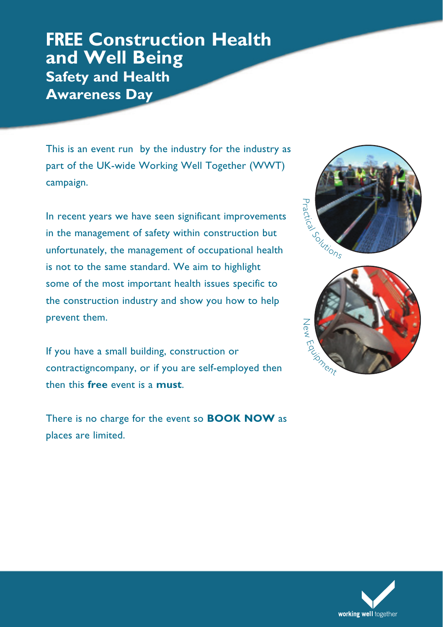#### **FREE Construction Health and Well Being Safety and Health Awareness Day**

This is an event run by the industry for the industry as part of the UK-wide Working Well Together (WWT) campaign.

In recent years we have seen significant improvements in the management of safety within construction but unfortunately, the management of occupational health is not to the same standard. We aim to highlight some of the most important health issues specific to the construction industry and show you how to help prevent them.

If you have a small building, construction or contractigncompany, or if you are self-employed then then this **free** event is a **must**.

There is no charge for the event so **BOOK NOW** as places are limited.





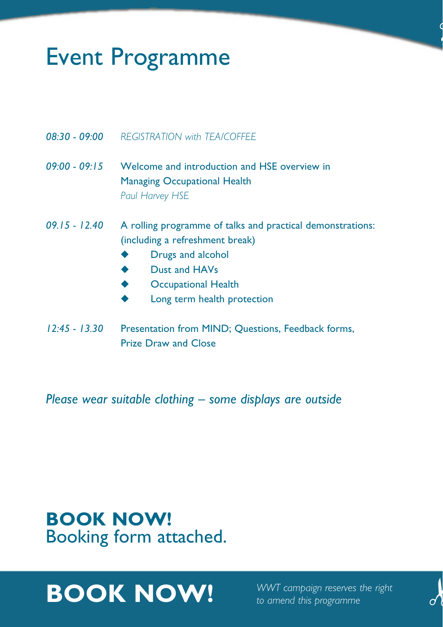# Event Programme

- *08:30 09:00 REGISTRATION with TEA/COFFEE*
- *09:00 09:15* Welcome and introduction and HSE overview in Managing Occupational Health *Paul Harvey HSE*
- *09.15 12.40* A rolling programme of talks and practical demonstrations: (including a refreshment break)
	- **Drugs and alcohol**
	- **Dust and HAVs**
	- **Occupational Health**
	- Long term health protection
- *12:45 13.30* Presentation from MIND; Questions, Feedback forms, Prize Draw and Close

*Please wear suitable clothing – some displays are outside*

### **BOOK NOW!**  Booking form attached.

# **BOOK NOW!** *WWT campaign reserves the right*



!<br>!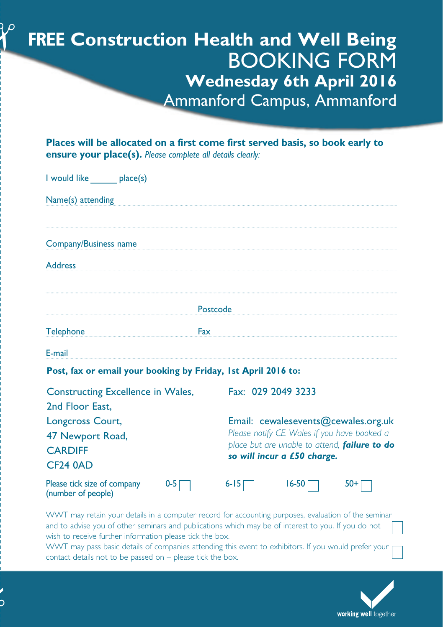### **FREE Construction Health and Well Being** BOOKING FORM **Wednesday 6th April 2016** Ammanford Campus, Ammanford

**Places will be allocated on a first come first served basis, so book early to ensure your place(s).** *Please complete all details clearly:*

| I would like place(s)                                                     |                                                                                                                                                                    |
|---------------------------------------------------------------------------|--------------------------------------------------------------------------------------------------------------------------------------------------------------------|
| Name(s) attending                                                         |                                                                                                                                                                    |
| Company/Business name                                                     |                                                                                                                                                                    |
| <b>Address</b>                                                            |                                                                                                                                                                    |
| Postcode                                                                  |                                                                                                                                                                    |
| <b>Telephone</b>                                                          | Fax                                                                                                                                                                |
| E-mail                                                                    |                                                                                                                                                                    |
| Post, fax or email your booking by Friday, 1st April 2016 to:             |                                                                                                                                                                    |
| Constructing Excellence in Wales,<br>2nd Floor East.                      | Fax: 029 2049 3233                                                                                                                                                 |
| Longcross Court,<br>47 Newport Road,<br><b>CARDIFF</b><br><b>CF24 0AD</b> | Email: cewalesevents@cewales.org.uk<br>Please notify CE Wales if you have booked a<br>place but are unable to attend, failure to do<br>so will incur a £50 charge. |
| Please tick size of company<br>$0 - 5$<br>(number of people)              | $6 - 15$<br>$16 - 50$<br>50+                                                                                                                                       |

WWT may retain your details in a computer record for accounting purposes, evaluation of the seminar and to advise you of other seminars and publications which may be of interest to you. If you do not wish to receive further information please tick the box.

WWT may pass basic details of companies attending this event to exhibitors. If you would prefer your contact details not to be passed on – please tick the box.

|<br>|<br>|<br>|

 $\textbf{\textit{Y}}^{\circ}$ 

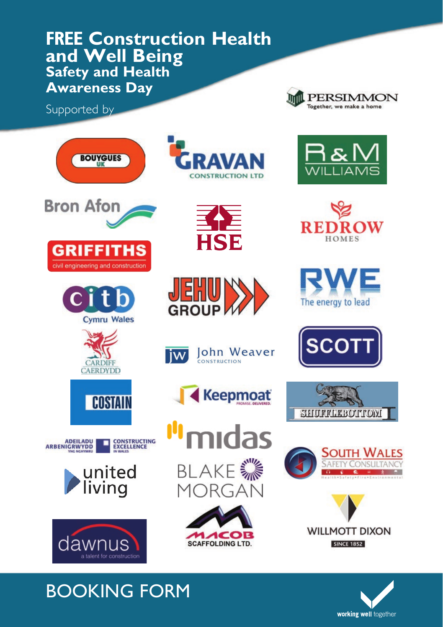#### **FREE Construction Health and Well Being Safety and Health Awareness Day**

Supported by

















HSE

**Iohn Weaver** 

**Keepmoat** 

mıdas

**BLAKE ※** 

MORGAN

1 ACC

**SCAFFOLDING LTD.** 

ONSTRUCTION

E

iw

**GROUP** 



















## BOOKING FORM